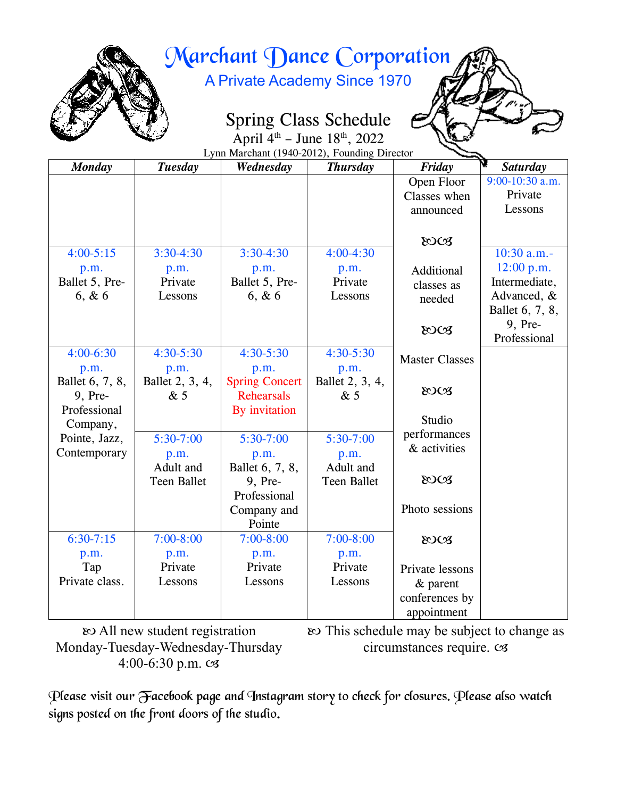

# Marchant Dance Corporation

A Private Academy Since 1970

## Spring Class Schedule

April  $4^{th}$  – June  $18^{th}$ , 2022 Lynn Marchant (1940-2012), Founding Director

| <b>Monday</b>   | <b>Tuesday</b>     | Wednesday             | <b>Thursday</b>    | Friday                | Λ<br><b>Saturday</b> |
|-----------------|--------------------|-----------------------|--------------------|-----------------------|----------------------|
|                 |                    |                       |                    | Open Floor            | $9:00-10:30$ a.m.    |
|                 |                    |                       |                    | Classes when          | Private              |
|                 |                    |                       |                    | announced             | Lessons              |
|                 |                    |                       |                    |                       |                      |
|                 |                    |                       |                    | 80CB                  |                      |
| $4:00 - 5:15$   | $3:30-4:30$        | $3:30-4:30$           | $4:00-4:30$        |                       | $10:30$ a.m.-        |
| p.m.            | p.m.               | p.m.                  | p.m.               | Additional            | 12:00 p.m.           |
| Ballet 5, Pre-  | Private            | Ballet 5, Pre-        | Private            | classes as            | Intermediate,        |
| 6, & 6          | Lessons            | 6, & 6                | Lessons            | needed                | Advanced, &          |
|                 |                    |                       |                    |                       | Ballet 6, 7, 8,      |
|                 |                    |                       |                    | 80CB                  | 9, Pre-              |
|                 |                    |                       |                    |                       | Professional         |
| $4:00-6:30$     | $4:30 - 5:30$      | $4:30 - 5:30$         | $4:30 - 5:30$      | <b>Master Classes</b> |                      |
| p.m.            | p.m.               | p.m.                  | p.m.               |                       |                      |
| Ballet 6, 7, 8, | Ballet 2, 3, 4,    | <b>Spring Concert</b> | Ballet 2, 3, 4,    | 80CB                  |                      |
| 9, Pre-         | &5                 | <b>Rehearsals</b>     | &5                 |                       |                      |
| Professional    |                    | By invitation         |                    | Studio                |                      |
| Company,        |                    |                       |                    | performances          |                      |
| Pointe, Jazz,   | $5:30-7:00$        | $5:30-7:00$           | $5:30-7:00$        | & activities          |                      |
| Contemporary    | p.m.               | p.m.                  | p.m.               |                       |                      |
|                 | Adult and          | Ballet 6, 7, 8,       | Adult and          |                       |                      |
|                 | <b>Teen Ballet</b> | 9, Pre-               | <b>Teen Ballet</b> | 80CB                  |                      |
|                 |                    | Professional          |                    |                       |                      |
|                 |                    | Company and           |                    | Photo sessions        |                      |
|                 |                    | Pointe                |                    |                       |                      |
| $6:30 - 7:15$   | $7:00 - 8:00$      | $7:00 - 8:00$         | $7:00 - 8:00$      | 80CB                  |                      |
| p.m.            | p.m.               | p.m.                  | p.m.               |                       |                      |
| Tap             | Private            | Private               | Private            | Private lessons       |                      |
| Private class.  | Lessons            | Lessons               | Lessons            | $&\$ parent           |                      |
|                 |                    |                       |                    | conferences by        |                      |
|                 |                    |                       |                    | appointment           |                      |

 All new student registration Monday-Tuesday-Wednesday-Thursday 4:00-6:30 p.m.

 This schedule may be subject to change as circumstances require.

Please visit our Facebook page and Instagram story to check for closures. Please also watch signs posted on the front doors of the studio.